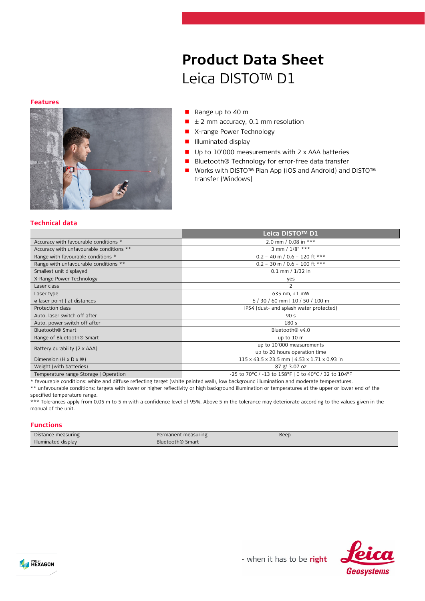# **Product Data Sheet** Leica DISTO™ D1

#### **Features**



#### Range up to 40 m

- $\blacksquare$   $\pm$  2 mm accuracy, 0.1 mm resolution
- **X-range Power Technology**
- **Illuminated display**
- Up to 10'000 measurements with 2 x AAA batteries
- Bluetooth® Technology for error-free data transfer
- Works with DISTO™ Plan App (iOS and Android) and DISTO™ transfer (Windows)

#### **Technical data**

|                                          | Leica DISTO™ D1                                      |
|------------------------------------------|------------------------------------------------------|
| Accuracy with favourable conditions *    | 2.0 mm / 0.08 in ***                                 |
| Accuracy with unfavourable conditions ** | 3 mm / $1/8"$ ***                                    |
| Range with favourable conditions *       | $0.2 - 40$ m / $0.6 - 120$ ft ***                    |
| Range with unfavourable conditions **    | $0.2 - 30$ m / $0.6 - 100$ ft ***                    |
| Smallest unit displayed                  | $0.1$ mm $/ 1/32$ in                                 |
| X-Range Power Technology                 | yes                                                  |
| Laser class                              |                                                      |
| Laser type                               | 635 nm, $\langle 1$ mW                               |
| ø laser point   at distances             | $6/30/60$ mm   10 / 50 / 100 m                       |
| Protection class                         | IP54 (dust- and splash water protected)              |
| Auto. laser switch off after             | 90 <sub>s</sub>                                      |
| Auto. power switch off after             | 180 <sub>s</sub>                                     |
| Bluetooth <sup>®</sup> Smart             | Bluetooth <sup>®</sup> v4.0                          |
| Range of Bluetooth <sup>®</sup> Smart    | up to 10 m                                           |
| Battery durability (2 x AAA)             | up to 10'000 measurements                            |
|                                          | up to 20 hours operation time                        |
| Dimension $(H \times D \times W)$        | 115 x 43.5 x 23.5 mm   4.53 x 1.71 x 0.93 in         |
| Weight (with batteries)                  | 87 g / 3.07 oz                                       |
| Temperature range Storage   Operation    | -25 to 70°C / -13 to 158°F   0 to 40°C / 32 to 104°F |

\* favourable conditions: white and diffuse reflecting target (white painted wall), low background illumination and moderate temperatures.

\*\* unfavourable conditions: targets with lower or higher reflectivity or high background illumination or temperatures at the upper or lower end of the specified temperature range.

\*\*\* Tolerances apply from 0.05 m to 5 m with a confidence level of 95%. Above 5 m the tolerance may deteriorate according to the values given in the manual of the unit.

## **Functions**

| Distance measuring  | Permanent measuring          | Beep |
|---------------------|------------------------------|------|
| Illuminated display | Bluetooth <sup>®</sup> Smart |      |